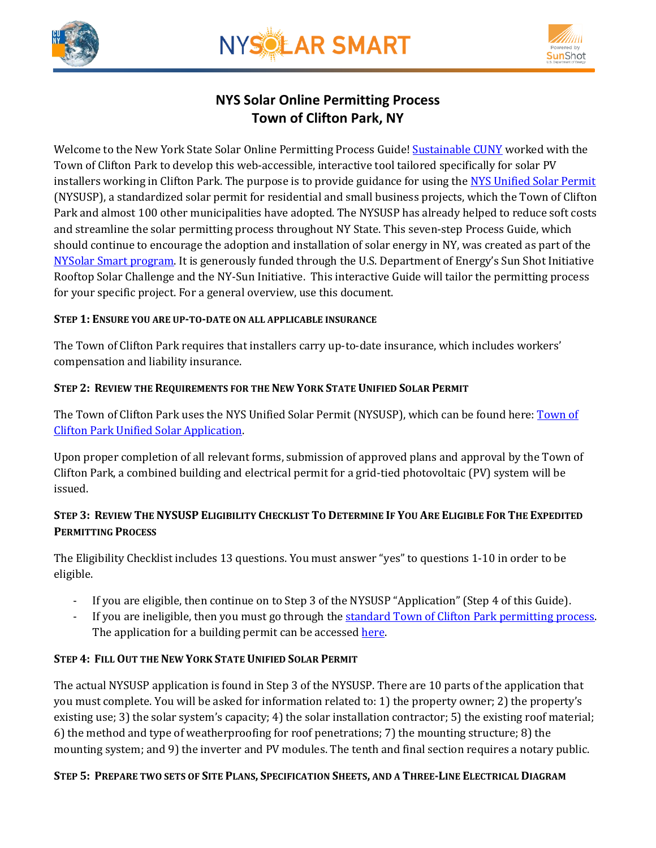



# **NYS Solar Online Permitting Process Town of Clifton Park, NY**

Welcome to the New York State Solar Online Permitting Process Guide! [Sustainable CUNY](http://www.cuny.edu/about/resources/sustainability.html) worked with the Town of Clifton Park to develop this web-accessible, interactive tool tailored specifically for solar PV installers working in Clifton Park. The purpose is to provide guidance for using the [NYS Unified Solar Permit](http://www.cliftonpark.org/wp-content/uploads/2014/08/New-York-State-Unified-Solar-Permit-App_2014-1399557500.pdf) (NYSUSP), a standardized solar permit for residential and small business projects, which the Town of Clifton Park and almost 100 other municipalities have adopted. The NYSUSP has already helped to reduce soft costs and streamline the solar permitting process throughout NY State. This seven-step Process Guide, which should continue to encourage the adoption and installation of solar energy in NY, was created as part of the [NYSolar Smart program.](http://www.cuny.edu/about/resources/sustainability/nyssolar.html) It is generously funded through the U.S. Department of Energy's Sun Shot Initiative Rooftop Solar Challenge and the NY-Sun Initiative. This interactive Guide will tailor the permitting process for your specific project. For a general overview, use this document.

#### **STEP 1: ENSURE YOU ARE UP-TO-DATE ON ALL APPLICABLE INSURANCE**

The Town of Clifton Park requires that installers carry up-to-date insurance, which includes workers' compensation and liability insurance.

# **STEP 2: REVIEW THE REQUIREMENTS FOR THE NEW YORK STATE UNIFIED SOLAR PERMIT**

The Town of Clifton Park uses the NYS Unified Solar Permit (NYSUSP), which can be found here[: Town](http://www.cliftonpark.org/wp-content/uploads/2014/08/New-York-State-Unified-Solar-Permit-App_2014-1399557500.pdf) of [Clifton Park Unified Solar Application.](http://www.cliftonpark.org/wp-content/uploads/2014/08/New-York-State-Unified-Solar-Permit-App_2014-1399557500.pdf)

Upon proper completion of all relevant forms, submission of approved plans and approval by the Town of Clifton Park, a combined building and electrical permit for a grid-tied photovoltaic (PV) system will be issued.

# STEP 3: REVIEW THE NYSUSP ELIGIBILITY CHECKLIST TO DETERMINE IF YOU ARE ELIGIBLE FOR THE EXPEDITED **PERMITTING PROCESS**

The Eligibility Checklist includes 13 questions. You must answer "yes" to questions 1-10 in order to be eligible.

- If you are eligible, then continue on to Step 3 of the NYSUSP "Application" (Step 4 of this Guide).
- If you are ineligible, then you must go through the standard Town of Clifton Park [permitting process.](http://www.cliftonpark.org/townhall/building-permit-applications-information/) The application for a building permit can be accessed [here.](http://www.cliftonpark.org/wp-content/uploads/2014/08/doc11349720160129160941.pdf)

# **STEP 4: FILL OUT THE NEW YORK STATE UNIFIED SOLAR PERMIT**

The actual NYSUSP application is found in Step 3 of the NYSUSP. There are 10 parts of the application that you must complete. You will be asked for information related to: 1) the property owner; 2) the property's existing use; 3) the solar system's capacity; 4) the solar installation contractor; 5) the existing roof material; 6) the method and type of weatherproofing for roof penetrations; 7) the mounting structure; 8) the mounting system; and 9) the inverter and PV modules. The tenth and final section requires a notary public.

#### STEP 5: PREPARE TWO SETS OF SITE PLANS, SPECIFICATION SHEETS, AND A THREE-LINE ELECTRICAL DIAGRAM